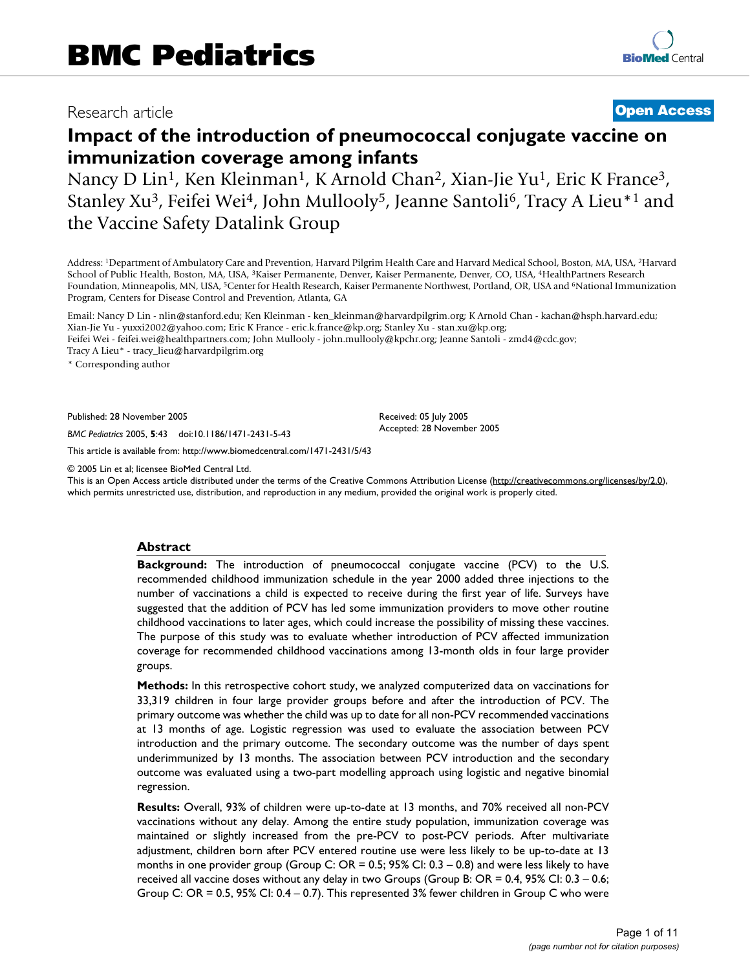# Research article **[Open Access](http://www.biomedcentral.com/info/about/charter/)**

# **Impact of the introduction of pneumococcal conjugate vaccine on immunization coverage among infants**

Nancy D Lin<sup>1</sup>, Ken Kleinman<sup>1</sup>, K Arnold Chan<sup>2</sup>, Xian-Jie Yu<sup>1</sup>, Eric K France<sup>3</sup>, Stanley Xu<sup>3</sup>, Feifei Wei<sup>4</sup>, John Mullooly<sup>5</sup>, Jeanne Santoli<sup>6</sup>, Tracy A Lieu<sup>\*1</sup> and the Vaccine Safety Datalink Group

Address: 1Department of Ambulatory Care and Prevention, Harvard Pilgrim Health Care and Harvard Medical School, Boston, MA, USA, 2Harvard School of Public Health, Boston, MA, USA, 3Kaiser Permanente, Denver, Kaiser Permanente, Denver, CO, USA, 4HealthPartners Research Foundation, Minneapolis, MN, USA, <sup>5</sup>Center for Health Research, Kaiser Permanente Northwest, Portland, OR, USA and <sup>6</sup>National Immunization Program, Centers for Disease Control and Prevention, Atlanta, GA

Email: Nancy D Lin - nlin@stanford.edu; Ken Kleinman - ken\_kleinman@harvardpilgrim.org; K Arnold Chan - kachan@hsph.harvard.edu; Xian-Jie Yu - yuxxi2002@yahoo.com; Eric K France - eric.k.france@kp.org; Stanley Xu - stan.xu@kp.org; Feifei Wei - feifei.wei@healthpartners.com; John Mullooly - john.mullooly@kpchr.org; Jeanne Santoli - zmd4@cdc.gov;

Tracy A Lieu\* - tracy\_lieu@harvardpilgrim.org

\* Corresponding author

Published: 28 November 2005

*BMC Pediatrics* 2005, **5**:43 doi:10.1186/1471-2431-5-43

[This article is available from: http://www.biomedcentral.com/1471-2431/5/43](http://www.biomedcentral.com/1471-2431/5/43)

© 2005 Lin et al; licensee BioMed Central Ltd.

This is an Open Access article distributed under the terms of the Creative Commons Attribution License [\(http://creativecommons.org/licenses/by/2.0\)](http://creativecommons.org/licenses/by/2.0), which permits unrestricted use, distribution, and reproduction in any medium, provided the original work is properly cited.

Received: 05 July 2005 Accepted: 28 November 2005

#### **Abstract**

**Background:** The introduction of pneumococcal conjugate vaccine (PCV) to the U.S. recommended childhood immunization schedule in the year 2000 added three injections to the number of vaccinations a child is expected to receive during the first year of life. Surveys have suggested that the addition of PCV has led some immunization providers to move other routine childhood vaccinations to later ages, which could increase the possibility of missing these vaccines. The purpose of this study was to evaluate whether introduction of PCV affected immunization coverage for recommended childhood vaccinations among 13-month olds in four large provider groups.

**Methods:** In this retrospective cohort study, we analyzed computerized data on vaccinations for 33,319 children in four large provider groups before and after the introduction of PCV. The primary outcome was whether the child was up to date for all non-PCV recommended vaccinations at 13 months of age. Logistic regression was used to evaluate the association between PCV introduction and the primary outcome. The secondary outcome was the number of days spent underimmunized by 13 months. The association between PCV introduction and the secondary outcome was evaluated using a two-part modelling approach using logistic and negative binomial regression.

**Results:** Overall, 93% of children were up-to-date at 13 months, and 70% received all non-PCV vaccinations without any delay. Among the entire study population, immunization coverage was maintained or slightly increased from the pre-PCV to post-PCV periods. After multivariate adjustment, children born after PCV entered routine use were less likely to be up-to-date at 13 months in one provider group (Group C:  $OR = 0.5$ ; 95% CI:  $0.3 - 0.8$ ) and were less likely to have received all vaccine doses without any delay in two Groups (Group B: OR = 0.4, 95% CI: 0.3 – 0.6; Group C: OR = 0.5, 95% CI: 0.4 – 0.7). This represented 3% fewer children in Group C who were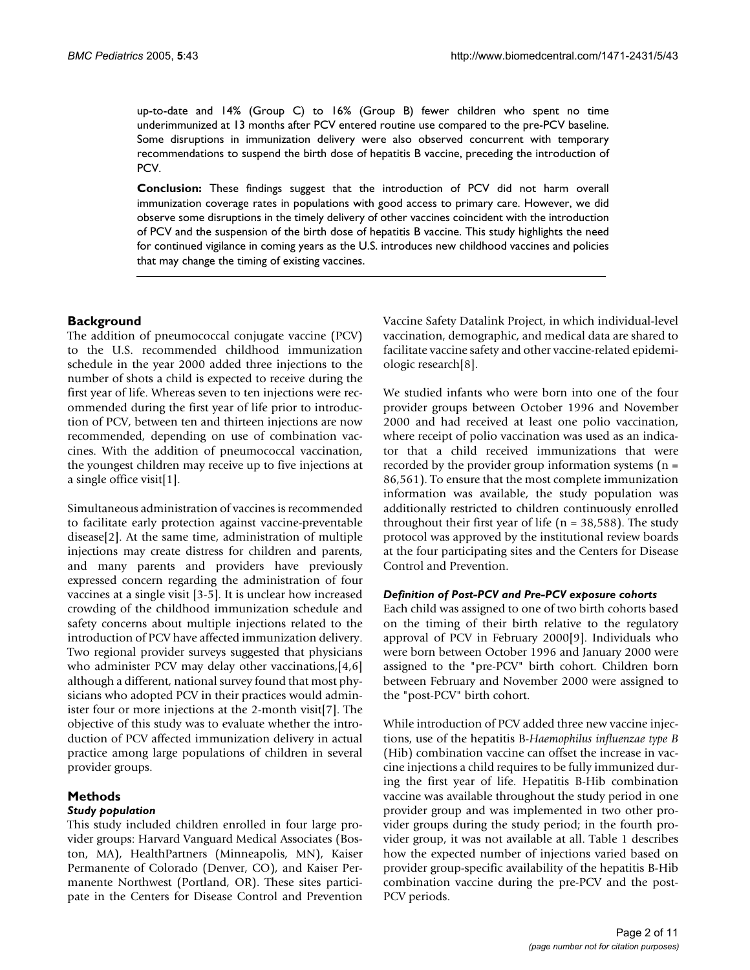up-to-date and 14% (Group C) to 16% (Group B) fewer children who spent no time underimmunized at 13 months after PCV entered routine use compared to the pre-PCV baseline. Some disruptions in immunization delivery were also observed concurrent with temporary recommendations to suspend the birth dose of hepatitis B vaccine, preceding the introduction of PCV.

**Conclusion:** These findings suggest that the introduction of PCV did not harm overall immunization coverage rates in populations with good access to primary care. However, we did observe some disruptions in the timely delivery of other vaccines coincident with the introduction of PCV and the suspension of the birth dose of hepatitis B vaccine. This study highlights the need for continued vigilance in coming years as the U.S. introduces new childhood vaccines and policies that may change the timing of existing vaccines.

# **Background**

The addition of pneumococcal conjugate vaccine (PCV) to the U.S. recommended childhood immunization schedule in the year 2000 added three injections to the number of shots a child is expected to receive during the first year of life. Whereas seven to ten injections were recommended during the first year of life prior to introduction of PCV, between ten and thirteen injections are now recommended, depending on use of combination vaccines. With the addition of pneumococcal vaccination, the youngest children may receive up to five injections at a single office visit[1].

Simultaneous administration of vaccines is recommended to facilitate early protection against vaccine-preventable disease[2]. At the same time, administration of multiple injections may create distress for children and parents, and many parents and providers have previously expressed concern regarding the administration of four vaccines at a single visit [3-5]. It is unclear how increased crowding of the childhood immunization schedule and safety concerns about multiple injections related to the introduction of PCV have affected immunization delivery. Two regional provider surveys suggested that physicians who administer PCV may delay other vaccinations, [4,6] although a different, national survey found that most physicians who adopted PCV in their practices would administer four or more injections at the 2-month visit[7]. The objective of this study was to evaluate whether the introduction of PCV affected immunization delivery in actual practice among large populations of children in several provider groups.

# **Methods**

# *Study population*

This study included children enrolled in four large provider groups: Harvard Vanguard Medical Associates (Boston, MA), HealthPartners (Minneapolis, MN), Kaiser Permanente of Colorado (Denver, CO), and Kaiser Permanente Northwest (Portland, OR). These sites participate in the Centers for Disease Control and Prevention Vaccine Safety Datalink Project, in which individual-level vaccination, demographic, and medical data are shared to facilitate vaccine safety and other vaccine-related epidemiologic research[8].

We studied infants who were born into one of the four provider groups between October 1996 and November 2000 and had received at least one polio vaccination, where receipt of polio vaccination was used as an indicator that a child received immunizations that were recorded by the provider group information systems (n = 86,561). To ensure that the most complete immunization information was available, the study population was additionally restricted to children continuously enrolled throughout their first year of life ( $n = 38,588$ ). The study protocol was approved by the institutional review boards at the four participating sites and the Centers for Disease Control and Prevention.

#### *Definition of Post-PCV and Pre-PCV exposure cohorts*

Each child was assigned to one of two birth cohorts based on the timing of their birth relative to the regulatory approval of PCV in February 2000[9]. Individuals who were born between October 1996 and January 2000 were assigned to the "pre-PCV" birth cohort. Children born between February and November 2000 were assigned to the "post-PCV" birth cohort.

While introduction of PCV added three new vaccine injections, use of the hepatitis B-*Haemophilus influenzae type B* (Hib) combination vaccine can offset the increase in vaccine injections a child requires to be fully immunized during the first year of life. Hepatitis B-Hib combination vaccine was available throughout the study period in one provider group and was implemented in two other provider groups during the study period; in the fourth provider group, it was not available at all. Table 1 describes how the expected number of injections varied based on provider group-specific availability of the hepatitis B-Hib combination vaccine during the pre-PCV and the post-PCV periods.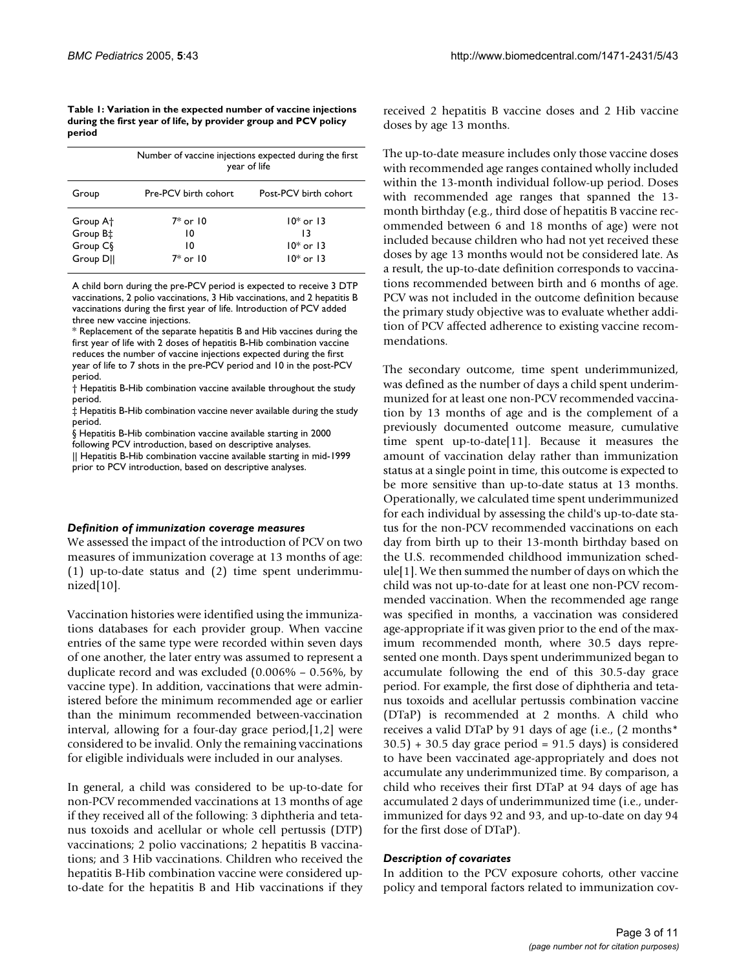| Table 1: Variation in the expected number of vaccine injections |
|-----------------------------------------------------------------|
| during the first year of life, by provider group and PCV policy |
| period                                                          |

|                      | Number of vaccine injections expected during the first<br>year of life |                       |  |  |  |
|----------------------|------------------------------------------------------------------------|-----------------------|--|--|--|
| Group                | Pre-PCV birth cohort                                                   | Post-PCV birth cohort |  |  |  |
| Group A <sup>+</sup> | $7*$ or $10$                                                           | $10*$ or $13$         |  |  |  |
| Group B <sup>+</sup> | 10                                                                     | 13                    |  |  |  |
| Group C <sub>§</sub> | 10                                                                     | $10*$ or 13           |  |  |  |
| Group DII            | $7*$ or $10$                                                           | $10*$ or 13           |  |  |  |

A child born during the pre-PCV period is expected to receive 3 DTP vaccinations, 2 polio vaccinations, 3 Hib vaccinations, and 2 hepatitis B vaccinations during the first year of life. Introduction of PCV added three new vaccine injections.

\* Replacement of the separate hepatitis B and Hib vaccines during the first year of life with 2 doses of hepatitis B-Hib combination vaccine reduces the number of vaccine injections expected during the first year of life to 7 shots in the pre-PCV period and 10 in the post-PCV period.

† Hepatitis B-Hib combination vaccine available throughout the study period.

‡ Hepatitis B-Hib combination vaccine never available during the study period.

§ Hepatitis B-Hib combination vaccine available starting in 2000

following PCV introduction, based on descriptive analyses. || Hepatitis B-Hib combination vaccine available starting in mid-1999 prior to PCV introduction, based on descriptive analyses.

#### *Definition of immunization coverage measures*

We assessed the impact of the introduction of PCV on two measures of immunization coverage at 13 months of age: (1) up-to-date status and (2) time spent underimmunized[10].

Vaccination histories were identified using the immunizations databases for each provider group. When vaccine entries of the same type were recorded within seven days of one another, the later entry was assumed to represent a duplicate record and was excluded (0.006% – 0.56%, by vaccine type). In addition, vaccinations that were administered before the minimum recommended age or earlier than the minimum recommended between-vaccination interval, allowing for a four-day grace period,[1,2] were considered to be invalid. Only the remaining vaccinations for eligible individuals were included in our analyses.

In general, a child was considered to be up-to-date for non-PCV recommended vaccinations at 13 months of age if they received all of the following: 3 diphtheria and tetanus toxoids and acellular or whole cell pertussis (DTP) vaccinations; 2 polio vaccinations; 2 hepatitis B vaccinations; and 3 Hib vaccinations. Children who received the hepatitis B-Hib combination vaccine were considered upto-date for the hepatitis B and Hib vaccinations if they received 2 hepatitis B vaccine doses and 2 Hib vaccine doses by age 13 months.

The up-to-date measure includes only those vaccine doses with recommended age ranges contained wholly included within the 13-month individual follow-up period. Doses with recommended age ranges that spanned the 13 month birthday (e.g., third dose of hepatitis B vaccine recommended between 6 and 18 months of age) were not included because children who had not yet received these doses by age 13 months would not be considered late. As a result, the up-to-date definition corresponds to vaccinations recommended between birth and 6 months of age. PCV was not included in the outcome definition because the primary study objective was to evaluate whether addition of PCV affected adherence to existing vaccine recommendations.

The secondary outcome, time spent underimmunized, was defined as the number of days a child spent underimmunized for at least one non-PCV recommended vaccination by 13 months of age and is the complement of a previously documented outcome measure, cumulative time spent up-to-date[11]. Because it measures the amount of vaccination delay rather than immunization status at a single point in time, this outcome is expected to be more sensitive than up-to-date status at 13 months. Operationally, we calculated time spent underimmunized for each individual by assessing the child's up-to-date status for the non-PCV recommended vaccinations on each day from birth up to their 13-month birthday based on the U.S. recommended childhood immunization schedule[1]. We then summed the number of days on which the child was not up-to-date for at least one non-PCV recommended vaccination. When the recommended age range was specified in months, a vaccination was considered age-appropriate if it was given prior to the end of the maximum recommended month, where 30.5 days represented one month. Days spent underimmunized began to accumulate following the end of this 30.5-day grace period. For example, the first dose of diphtheria and tetanus toxoids and acellular pertussis combination vaccine (DTaP) is recommended at 2 months. A child who receives a valid DTaP by 91 days of age (i.e., (2 months\*  $30.5$ ) + 30.5 day grace period = 91.5 days) is considered to have been vaccinated age-appropriately and does not accumulate any underimmunized time. By comparison, a child who receives their first DTaP at 94 days of age has accumulated 2 days of underimmunized time (i.e., underimmunized for days 92 and 93, and up-to-date on day 94 for the first dose of DTaP).

# *Description of covariates*

In addition to the PCV exposure cohorts, other vaccine policy and temporal factors related to immunization cov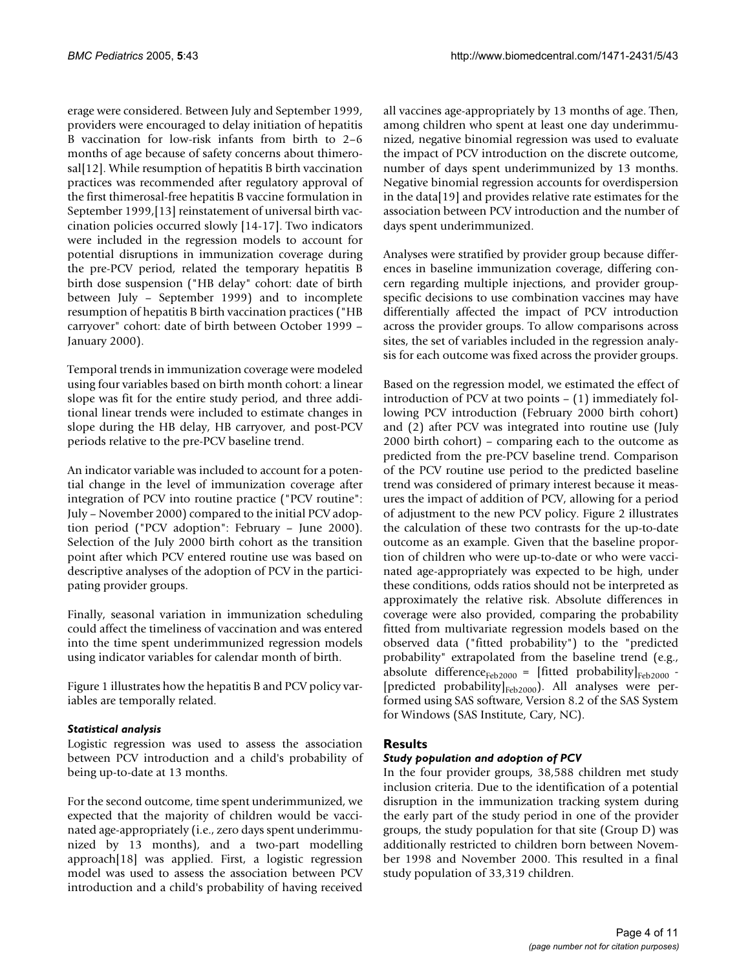erage were considered. Between July and September 1999, providers were encouraged to delay initiation of hepatitis B vaccination for low-risk infants from birth to 2–6 months of age because of safety concerns about thimerosal[12]. While resumption of hepatitis B birth vaccination practices was recommended after regulatory approval of the first thimerosal-free hepatitis B vaccine formulation in September 1999,[13] reinstatement of universal birth vaccination policies occurred slowly [14-17]. Two indicators were included in the regression models to account for potential disruptions in immunization coverage during the pre-PCV period, related the temporary hepatitis B birth dose suspension ("HB delay" cohort: date of birth between July – September 1999) and to incomplete resumption of hepatitis B birth vaccination practices ("HB carryover" cohort: date of birth between October 1999 – January 2000).

Temporal trends in immunization coverage were modeled using four variables based on birth month cohort: a linear slope was fit for the entire study period, and three additional linear trends were included to estimate changes in slope during the HB delay, HB carryover, and post-PCV periods relative to the pre-PCV baseline trend.

An indicator variable was included to account for a potential change in the level of immunization coverage after integration of PCV into routine practice ("PCV routine": July – November 2000) compared to the initial PCV adoption period ("PCV adoption": February – June 2000). Selection of the July 2000 birth cohort as the transition point after which PCV entered routine use was based on descriptive analyses of the adoption of PCV in the participating provider groups.

Finally, seasonal variation in immunization scheduling could affect the timeliness of vaccination and was entered into the time spent underimmunized regression models using indicator variables for calendar month of birth.

Figure 1 illustrates how the hepatitis B and PCV policy variables are temporally related.

# *Statistical analysis*

Logistic regression was used to assess the association between PCV introduction and a child's probability of being up-to-date at 13 months.

For the second outcome, time spent underimmunized, we expected that the majority of children would be vaccinated age-appropriately (i.e., zero days spent underimmunized by 13 months), and a two-part modelling approach[18] was applied. First, a logistic regression model was used to assess the association between PCV introduction and a child's probability of having received

all vaccines age-appropriately by 13 months of age. Then, among children who spent at least one day underimmunized, negative binomial regression was used to evaluate the impact of PCV introduction on the discrete outcome, number of days spent underimmunized by 13 months. Negative binomial regression accounts for overdispersion in the data[19] and provides relative rate estimates for the association between PCV introduction and the number of days spent underimmunized.

Analyses were stratified by provider group because differences in baseline immunization coverage, differing concern regarding multiple injections, and provider groupspecific decisions to use combination vaccines may have differentially affected the impact of PCV introduction across the provider groups. To allow comparisons across sites, the set of variables included in the regression analysis for each outcome was fixed across the provider groups.

Based on the regression model, we estimated the effect of introduction of PCV at two points – (1) immediately following PCV introduction (February 2000 birth cohort) and (2) after PCV was integrated into routine use (July 2000 birth cohort) – comparing each to the outcome as predicted from the pre-PCV baseline trend. Comparison of the PCV routine use period to the predicted baseline trend was considered of primary interest because it measures the impact of addition of PCV, allowing for a period of adjustment to the new PCV policy. Figure 2 illustrates the calculation of these two contrasts for the up-to-date outcome as an example. Given that the baseline proportion of children who were up-to-date or who were vaccinated age-appropriately was expected to be high, under these conditions, odds ratios should not be interpreted as approximately the relative risk. Absolute differences in coverage were also provided, comparing the probability fitted from multivariate regression models based on the observed data ("fitted probability") to the "predicted probability" extrapolated from the baseline trend (e.g., absolute difference $_{Feb2000}$  = [fitted probability] $_{Feb2000}$  -[predicted probability]<sub>Feb2000</sub>). All analyses were performed using SAS software, Version 8.2 of the SAS System for Windows (SAS Institute, Cary, NC).

# **Results**

# *Study population and adoption of PCV*

In the four provider groups, 38,588 children met study inclusion criteria. Due to the identification of a potential disruption in the immunization tracking system during the early part of the study period in one of the provider groups, the study population for that site (Group D) was additionally restricted to children born between November 1998 and November 2000. This resulted in a final study population of 33,319 children.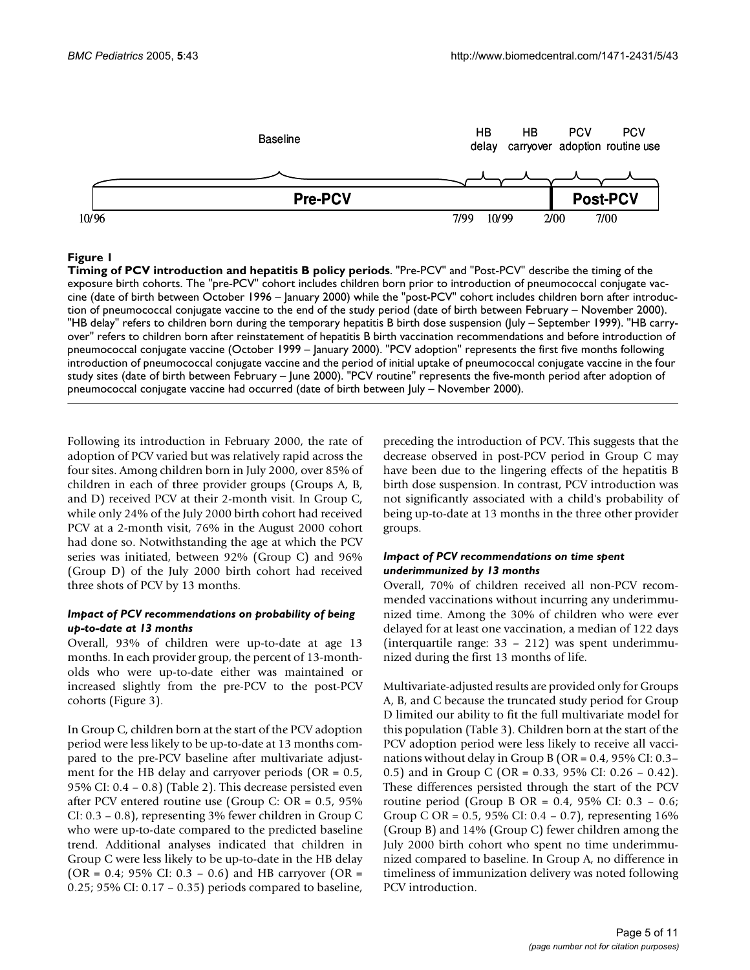

#### Figure 1

**Timing of PCV introduction and hepatitis B policy periods**. "Pre-PCV" and "Post-PCV" describe the timing of the exposure birth cohorts. The "pre-PCV" cohort includes children born prior to introduction of pneumococcal conjugate vaccine (date of birth between October 1996 – January 2000) while the "post-PCV" cohort includes children born after introduction of pneumococcal conjugate vaccine to the end of the study period (date of birth between February – November 2000). "HB delay" refers to children born during the temporary hepatitis B birth dose suspension (July – September 1999). "HB carryover" refers to children born after reinstatement of hepatitis B birth vaccination recommendations and before introduction of pneumococcal conjugate vaccine (October 1999 – January 2000). "PCV adoption" represents the first five months following introduction of pneumococcal conjugate vaccine and the period of initial uptake of pneumococcal conjugate vaccine in the four study sites (date of birth between February – June 2000). "PCV routine" represents the five-month period after adoption of pneumococcal conjugate vaccine had occurred (date of birth between July – November 2000).

Following its introduction in February 2000, the rate of adoption of PCV varied but was relatively rapid across the four sites. Among children born in July 2000, over 85% of children in each of three provider groups (Groups A, B, and D) received PCV at their 2-month visit. In Group C, while only 24% of the July 2000 birth cohort had received PCV at a 2-month visit, 76% in the August 2000 cohort had done so. Notwithstanding the age at which the PCV series was initiated, between 92% (Group C) and 96% (Group D) of the July 2000 birth cohort had received three shots of PCV by 13 months.

#### *Impact of PCV recommendations on probability of being up-to-date at 13 months*

Overall, 93% of children were up-to-date at age 13 months. In each provider group, the percent of 13-montholds who were up-to-date either was maintained or increased slightly from the pre-PCV to the post-PCV cohorts (Figure 3).

In Group C, children born at the start of the PCV adoption period were less likely to be up-to-date at 13 months compared to the pre-PCV baseline after multivariate adjustment for the HB delay and carryover periods ( $OR = 0.5$ , 95% CI: 0.4 – 0.8) (Table 2). This decrease persisted even after PCV entered routine use (Group C: OR = 0.5, 95% CI: 0.3 – 0.8), representing 3% fewer children in Group C who were up-to-date compared to the predicted baseline trend. Additional analyses indicated that children in Group C were less likely to be up-to-date in the HB delay (OR = 0.4; 95% CI: 0.3 – 0.6) and HB carryover (OR = 0.25; 95% CI: 0.17 – 0.35) periods compared to baseline,

preceding the introduction of PCV. This suggests that the decrease observed in post-PCV period in Group C may have been due to the lingering effects of the hepatitis B birth dose suspension. In contrast, PCV introduction was not significantly associated with a child's probability of being up-to-date at 13 months in the three other provider groups.

### *Impact of PCV recommendations on time spent underimmunized by 13 months*

Overall, 70% of children received all non-PCV recommended vaccinations without incurring any underimmunized time. Among the 30% of children who were ever delayed for at least one vaccination, a median of 122 days (interquartile range: 33 – 212) was spent underimmunized during the first 13 months of life.

Multivariate-adjusted results are provided only for Groups A, B, and C because the truncated study period for Group D limited our ability to fit the full multivariate model for this population (Table 3). Children born at the start of the PCV adoption period were less likely to receive all vaccinations without delay in Group B (OR = 0.4, 95% CI: 0.3– 0.5) and in Group C (OR = 0.33, 95% CI: 0.26 – 0.42). These differences persisted through the start of the PCV routine period (Group B OR = 0.4, 95% CI: 0.3 – 0.6; Group C OR = 0.5, 95% CI: 0.4 – 0.7), representing  $16%$ (Group B) and 14% (Group C) fewer children among the July 2000 birth cohort who spent no time underimmunized compared to baseline. In Group A, no difference in timeliness of immunization delivery was noted following PCV introduction.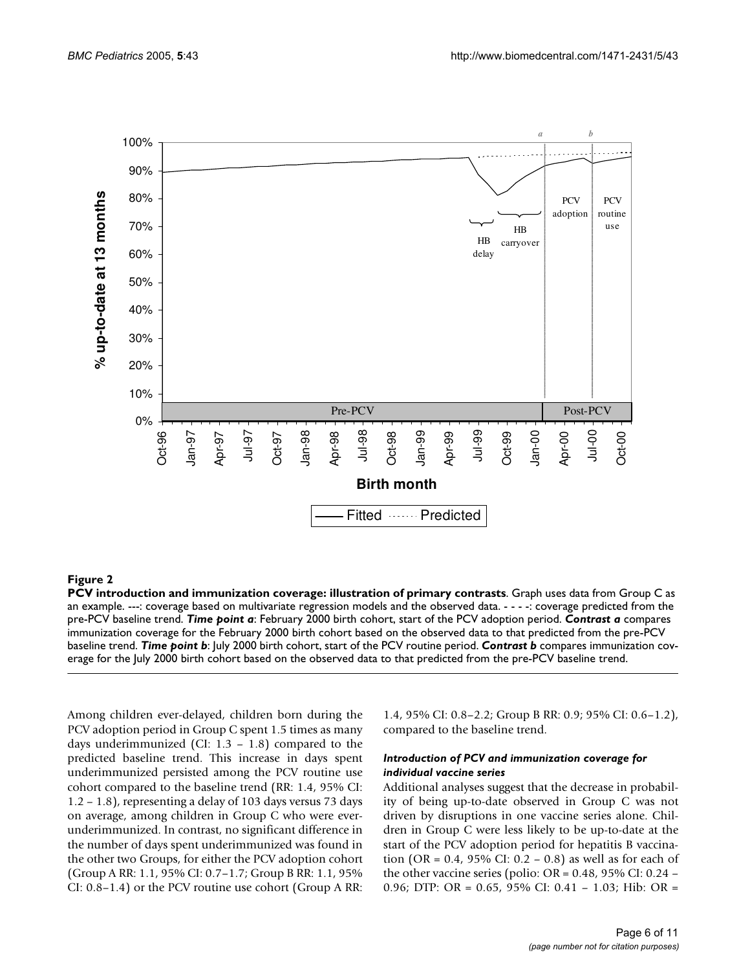

#### **Figure 2**

**PCV introduction and immunization coverage: illustration of primary contrasts**. Graph uses data from Group C as an example. ---: coverage based on multivariate regression models and the observed data. - - - -: coverage predicted from the pre-PCV baseline trend. *Time point a*: February 2000 birth cohort, start of the PCV adoption period. *Contrast a* compares immunization coverage for the February 2000 birth cohort based on the observed data to that predicted from the pre-PCV baseline trend. *Time point b*: July 2000 birth cohort, start of the PCV routine period. *Contrast b* compares immunization coverage for the July 2000 birth cohort based on the observed data to that predicted from the pre-PCV baseline trend.

Among children ever-delayed, children born during the PCV adoption period in Group C spent 1.5 times as many days underimmunized (CI: 1.3 – 1.8) compared to the predicted baseline trend. This increase in days spent underimmunized persisted among the PCV routine use cohort compared to the baseline trend (RR: 1.4, 95% CI: 1.2 – 1.8), representing a delay of 103 days versus 73 days on average, among children in Group C who were everunderimmunized. In contrast, no significant difference in the number of days spent underimmunized was found in the other two Groups, for either the PCV adoption cohort (Group A RR: 1.1, 95% CI: 0.7–1.7; Group B RR: 1.1, 95% CI: 0.8–1.4) or the PCV routine use cohort (Group A RR:

1.4, 95% CI: 0.8–2.2; Group B RR: 0.9; 95% CI: 0.6–1.2), compared to the baseline trend.

#### *Introduction of PCV and immunization coverage for individual vaccine series*

Additional analyses suggest that the decrease in probability of being up-to-date observed in Group C was not driven by disruptions in one vaccine series alone. Children in Group C were less likely to be up-to-date at the start of the PCV adoption period for hepatitis B vaccination (OR = 0.4, 95% CI: 0.2 – 0.8) as well as for each of the other vaccine series (polio: OR = 0.48, 95% CI: 0.24 – 0.96; DTP: OR = 0.65, 95% CI: 0.41 – 1.03; Hib: OR =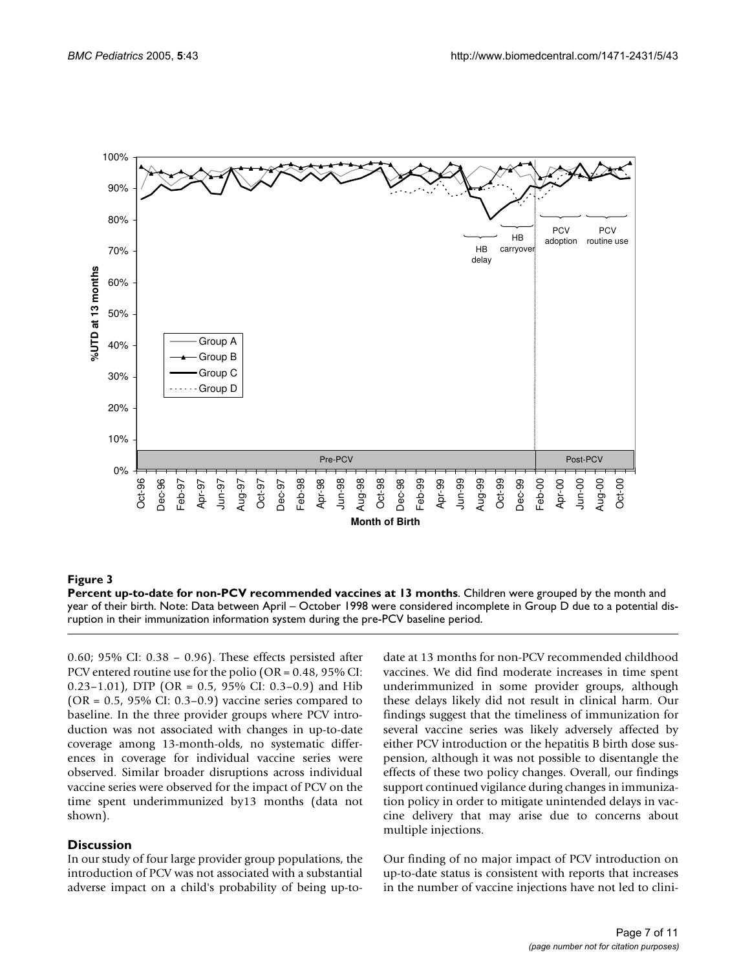

#### **Figure 3**

**Percent up-to-date for non-PCV recommended vaccines at 13 months**. Children were grouped by the month and year of their birth. Note: Data between April – October 1998 were considered incomplete in Group D due to a potential disruption in their immunization information system during the pre-PCV baseline period.

0.60; 95% CI: 0.38 – 0.96). These effects persisted after PCV entered routine use for the polio (OR = 0.48, 95% CI: 0.23-1.01), DTP (OR = 0.5, 95% CI: 0.3-0.9) and Hib  $(OR = 0.5, 95\% \text{ CI: } 0.3-0.9)$  vaccine series compared to baseline. In the three provider groups where PCV introduction was not associated with changes in up-to-date coverage among 13-month-olds, no systematic differences in coverage for individual vaccine series were observed. Similar broader disruptions across individual vaccine series were observed for the impact of PCV on the time spent underimmunized by13 months (data not shown).

#### **Discussion**

In our study of four large provider group populations, the introduction of PCV was not associated with a substantial adverse impact on a child's probability of being up-todate at 13 months for non-PCV recommended childhood vaccines. We did find moderate increases in time spent underimmunized in some provider groups, although these delays likely did not result in clinical harm. Our findings suggest that the timeliness of immunization for several vaccine series was likely adversely affected by either PCV introduction or the hepatitis B birth dose suspension, although it was not possible to disentangle the effects of these two policy changes. Overall, our findings support continued vigilance during changes in immunization policy in order to mitigate unintended delays in vaccine delivery that may arise due to concerns about multiple injections.

Our finding of no major impact of PCV introduction on up-to-date status is consistent with reports that increases in the number of vaccine injections have not led to clini-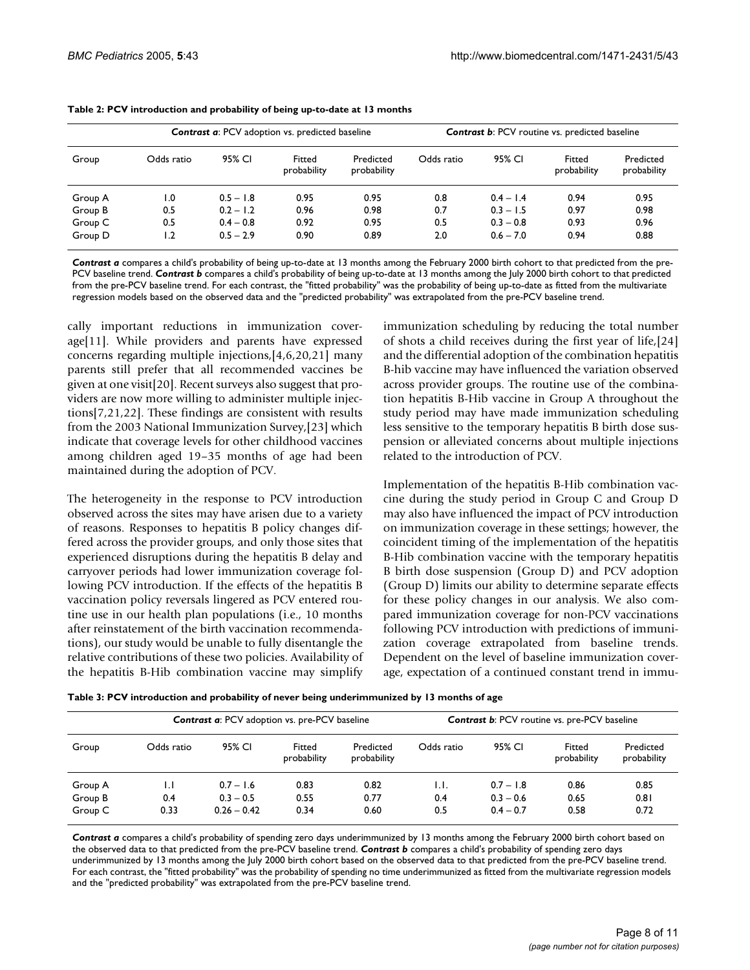| Group   | <b>Contrast a: PCV</b> adoption vs. predicted baseline |             |                       |                          | <b>Contrast b: PCV</b> routine vs. predicted baseline |             |                       |                          |
|---------|--------------------------------------------------------|-------------|-----------------------|--------------------------|-------------------------------------------------------|-------------|-----------------------|--------------------------|
|         | Odds ratio                                             | 95% CI      | Fitted<br>probability | Predicted<br>probability | Odds ratio                                            | 95% CI      | Fitted<br>probability | Predicted<br>probability |
| Group A | 1.0                                                    | $0.5 - 1.8$ | 0.95                  | 0.95                     | 0.8                                                   | $0.4 - 1.4$ | 0.94                  | 0.95                     |
| Group B | 0.5                                                    | $0.2 - 1.2$ | 0.96                  | 0.98                     | 0.7                                                   | $0.3 - 1.5$ | 0.97                  | 0.98                     |
| Group C | 0.5                                                    | $0.4 - 0.8$ | 0.92                  | 0.95                     | 0.5                                                   | $0.3 - 0.8$ | 0.93                  | 0.96                     |
| Group D | 1.2                                                    | $0.5 - 2.9$ | 0.90                  | 0.89                     | 2.0                                                   | $0.6 - 7.0$ | 0.94                  | 0.88                     |

| Table 2: PCV introduction and probability of being up-to-date at 13 months |  |  |  |
|----------------------------------------------------------------------------|--|--|--|
|----------------------------------------------------------------------------|--|--|--|

*Contrast a* compares a child's probability of being up-to-date at 13 months among the February 2000 birth cohort to that predicted from the pre-PCV baseline trend. *Contrast b* compares a child's probability of being up-to-date at 13 months among the July 2000 birth cohort to that predicted from the pre-PCV baseline trend. For each contrast, the "fitted probability" was the probability of being up-to-date as fitted from the multivariate regression models based on the observed data and the "predicted probability" was extrapolated from the pre-PCV baseline trend.

cally important reductions in immunization coverage[11]. While providers and parents have expressed concerns regarding multiple injections,[4,6,20,21] many parents still prefer that all recommended vaccines be given at one visit[20]. Recent surveys also suggest that providers are now more willing to administer multiple injections[7,21,22]. These findings are consistent with results from the 2003 National Immunization Survey,[23] which indicate that coverage levels for other childhood vaccines among children aged 19–35 months of age had been maintained during the adoption of PCV.

The heterogeneity in the response to PCV introduction observed across the sites may have arisen due to a variety of reasons. Responses to hepatitis B policy changes differed across the provider groups, and only those sites that experienced disruptions during the hepatitis B delay and carryover periods had lower immunization coverage following PCV introduction. If the effects of the hepatitis B vaccination policy reversals lingered as PCV entered routine use in our health plan populations (i.e., 10 months after reinstatement of the birth vaccination recommendations), our study would be unable to fully disentangle the relative contributions of these two policies. Availability of the hepatitis B-Hib combination vaccine may simplify immunization scheduling by reducing the total number of shots a child receives during the first year of life,[24] and the differential adoption of the combination hepatitis B-hib vaccine may have influenced the variation observed across provider groups. The routine use of the combination hepatitis B-Hib vaccine in Group A throughout the study period may have made immunization scheduling less sensitive to the temporary hepatitis B birth dose suspension or alleviated concerns about multiple injections related to the introduction of PCV.

Implementation of the hepatitis B-Hib combination vaccine during the study period in Group C and Group D may also have influenced the impact of PCV introduction on immunization coverage in these settings; however, the coincident timing of the implementation of the hepatitis B-Hib combination vaccine with the temporary hepatitis B birth dose suspension (Group D) and PCV adoption (Group D) limits our ability to determine separate effects for these policy changes in our analysis. We also compared immunization coverage for non-PCV vaccinations following PCV introduction with predictions of immunization coverage extrapolated from baseline trends. Dependent on the level of baseline immunization coverage, expectation of a continued constant trend in immu-

| Group   | <b>Contrast a: PCV</b> adoption vs. pre-PCV baseline |               |                       |                          | <b>Contrast b: PCV routine vs. pre-PCV baseline</b> |             |                       |                          |
|---------|------------------------------------------------------|---------------|-----------------------|--------------------------|-----------------------------------------------------|-------------|-----------------------|--------------------------|
|         | Odds ratio                                           | 95% CI        | Fitted<br>probability | Predicted<br>probability | Odds ratio                                          | 95% CI      | Fitted<br>probability | Predicted<br>probability |
| Group A | IJ                                                   | $0.7 - 1.6$   | 0.83                  | 0.82                     | LL.                                                 | $0.7 - 1.8$ | 0.86                  | 0.85                     |
| Group B | 0.4                                                  | $0.3 - 0.5$   | 0.55                  | 0.77                     | 0.4                                                 | $0.3 - 0.6$ | 0.65                  | 0.81                     |
| Group C | 0.33                                                 | $0.26 - 0.42$ | 0.34                  | 0.60                     | 0.5                                                 | $0.4 - 0.7$ | 0.58                  | 0.72                     |

*Contrast a* compares a child's probability of spending zero days underimmunized by 13 months among the February 2000 birth cohort based on the observed data to that predicted from the pre-PCV baseline trend. *Contrast b* compares a child's probability of spending zero days underimmunized by 13 months among the July 2000 birth cohort based on the observed data to that predicted from the pre-PCV baseline trend. For each contrast, the "fitted probability" was the probability of spending no time underimmunized as fitted from the multivariate regression models and the "predicted probability" was extrapolated from the pre-PCV baseline trend.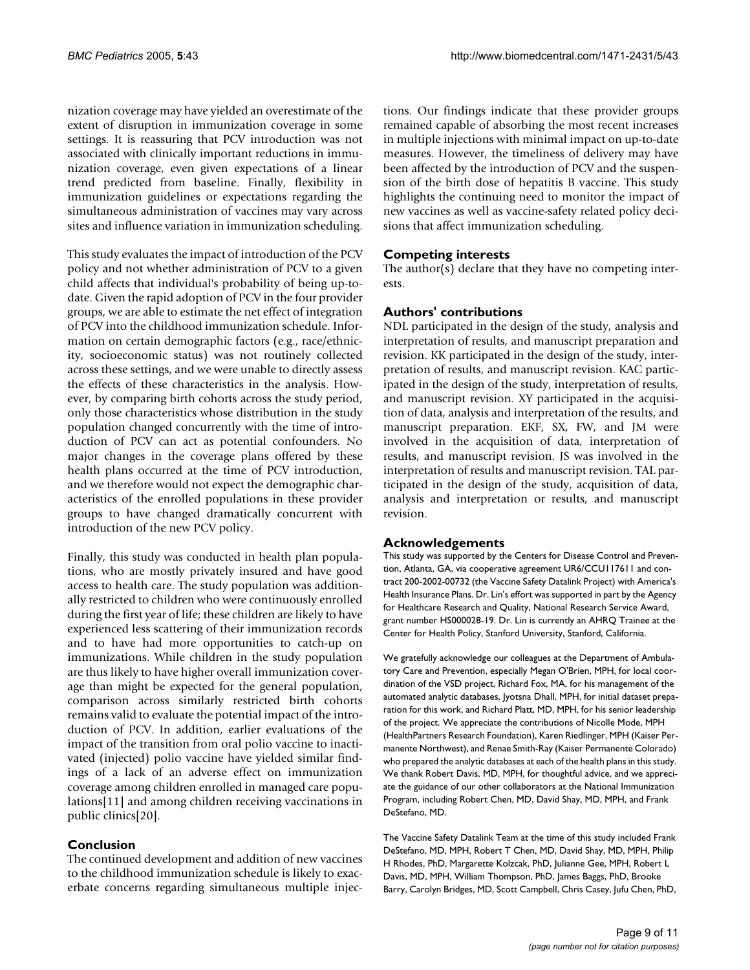nization coverage may have yielded an overestimate of the extent of disruption in immunization coverage in some settings. It is reassuring that PCV introduction was not associated with clinically important reductions in immunization coverage, even given expectations of a linear trend predicted from baseline. Finally, flexibility in immunization guidelines or expectations regarding the simultaneous administration of vaccines may vary across sites and influence variation in immunization scheduling.

This study evaluates the impact of introduction of the PCV policy and not whether administration of PCV to a given child affects that individual's probability of being up-todate. Given the rapid adoption of PCV in the four provider groups, we are able to estimate the net effect of integration of PCV into the childhood immunization schedule. Information on certain demographic factors (e.g., race/ethnicity, socioeconomic status) was not routinely collected across these settings, and we were unable to directly assess the effects of these characteristics in the analysis. However, by comparing birth cohorts across the study period, only those characteristics whose distribution in the study population changed concurrently with the time of introduction of PCV can act as potential confounders. No major changes in the coverage plans offered by these health plans occurred at the time of PCV introduction, and we therefore would not expect the demographic characteristics of the enrolled populations in these provider groups to have changed dramatically concurrent with introduction of the new PCV policy.

Finally, this study was conducted in health plan populations, who are mostly privately insured and have good access to health care. The study population was additionally restricted to children who were continuously enrolled during the first year of life; these children are likely to have experienced less scattering of their immunization records and to have had more opportunities to catch-up on immunizations. While children in the study population are thus likely to have higher overall immunization coverage than might be expected for the general population, comparison across similarly restricted birth cohorts remains valid to evaluate the potential impact of the introduction of PCV. In addition, earlier evaluations of the impact of the transition from oral polio vaccine to inactivated (injected) polio vaccine have yielded similar findings of a lack of an adverse effect on immunization coverage among children enrolled in managed care populations[11] and among children receiving vaccinations in public clinics[20].

# **Conclusion**

The continued development and addition of new vaccines to the childhood immunization schedule is likely to exacerbate concerns regarding simultaneous multiple injections. Our findings indicate that these provider groups remained capable of absorbing the most recent increases in multiple injections with minimal impact on up-to-date measures. However, the timeliness of delivery may have been affected by the introduction of PCV and the suspension of the birth dose of hepatitis B vaccine. This study highlights the continuing need to monitor the impact of new vaccines as well as vaccine-safety related policy decisions that affect immunization scheduling.

# **Competing interests**

The author(s) declare that they have no competing interests.

# **Authors' contributions**

NDL participated in the design of the study, analysis and interpretation of results, and manuscript preparation and revision. KK participated in the design of the study, interpretation of results, and manuscript revision. KAC participated in the design of the study, interpretation of results, and manuscript revision. XY participated in the acquisition of data, analysis and interpretation of the results, and manuscript preparation. EKF, SX, FW, and JM were involved in the acquisition of data, interpretation of results, and manuscript revision. JS was involved in the interpretation of results and manuscript revision. TAL participated in the design of the study, acquisition of data, analysis and interpretation or results, and manuscript revision.

# **Acknowledgements**

This study was supported by the Centers for Disease Control and Prevention, Atlanta, GA, via cooperative agreement UR6/CCU117611 and contract 200-2002-00732 (the Vaccine Safety Datalink Project) with America's Health Insurance Plans. Dr. Lin's effort was supported in part by the Agency for Healthcare Research and Quality, National Research Service Award, grant number HS000028-19. Dr. Lin is currently an AHRQ Trainee at the Center for Health Policy, Stanford University, Stanford, California.

We gratefully acknowledge our colleagues at the Department of Ambulatory Care and Prevention, especially Megan O'Brien, MPH, for local coordination of the VSD project, Richard Fox, MA, for his management of the automated analytic databases, Jyotsna Dhall, MPH, for initial dataset preparation for this work, and Richard Platt, MD, MPH, for his senior leadership of the project. We appreciate the contributions of Nicolle Mode, MPH (HealthPartners Research Foundation), Karen Riedlinger, MPH (Kaiser Permanente Northwest), and Renae Smith-Ray (Kaiser Permanente Colorado) who prepared the analytic databases at each of the health plans in this study. We thank Robert Davis, MD, MPH, for thoughtful advice, and we appreciate the guidance of our other collaborators at the National Immunization Program, including Robert Chen, MD, David Shay, MD, MPH, and Frank DeStefano, MD.

The Vaccine Safety Datalink Team at the time of this study included Frank DeStefano, MD, MPH, Robert T Chen, MD, David Shay, MD, MPH, Philip H Rhodes, PhD, Margarette Kolzcak, PhD, Julianne Gee, MPH, Robert L Davis, MD, MPH, William Thompson, PhD, James Baggs, PhD, Brooke Barry, Carolyn Bridges, MD, Scott Campbell, Chris Casey, Jufu Chen, PhD,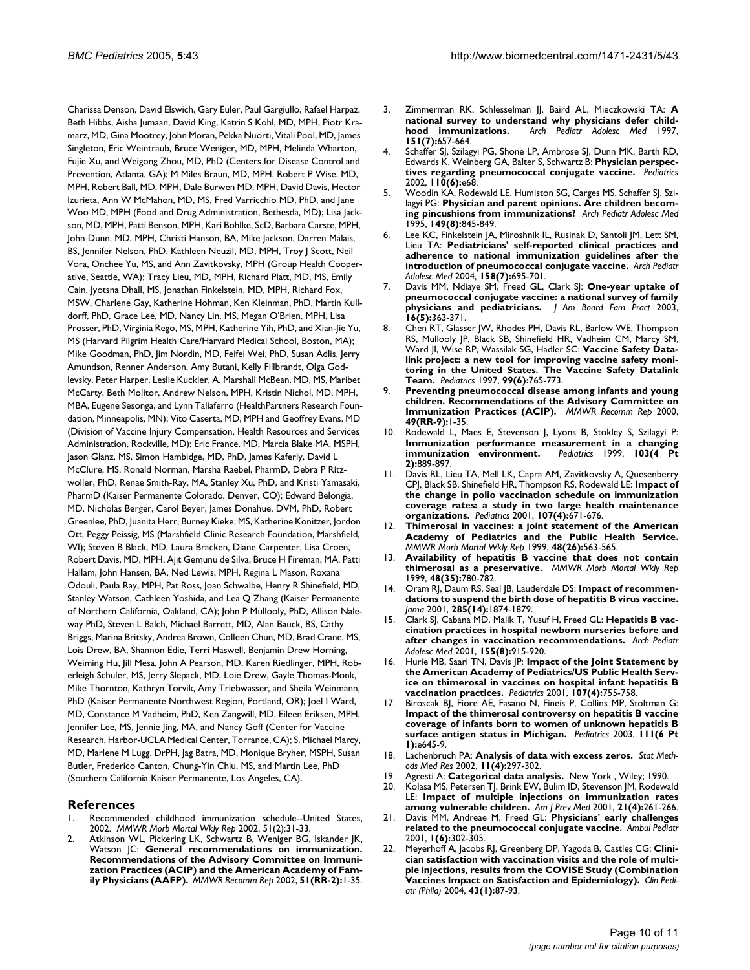Charissa Denson, David Elswich, Gary Euler, Paul Gargiullo, Rafael Harpaz, Beth Hibbs, Aisha Jumaan, David King, Katrin S Kohl, MD, MPH, Piotr Kramarz, MD, Gina Mootrey, John Moran, Pekka Nuorti, Vitali Pool, MD, James Singleton, Eric Weintraub, Bruce Weniger, MD, MPH, Melinda Wharton, Fujie Xu, and Weigong Zhou, MD, PhD (Centers for Disease Control and Prevention, Atlanta, GA); M Miles Braun, MD, MPH, Robert P Wise, MD, MPH, Robert Ball, MD, MPH, Dale Burwen MD, MPH, David Davis, Hector Izurieta, Ann W McMahon, MD, MS, Fred Varricchio MD, PhD, and Jane Woo MD, MPH (Food and Drug Administration, Bethesda, MD); Lisa Jackson, MD, MPH, Patti Benson, MPH, Kari Bohlke, ScD, Barbara Carste, MPH, John Dunn, MD, MPH, Christi Hanson, BA, Mike Jackson, Darren Malais, BS, Jennifer Nelson, PhD, Kathleen Neuzil, MD, MPH, Troy J Scott, Neil Vora, Onchee Yu, MS, and Ann Zavitkovsky, MPH (Group Health Cooperative, Seattle, WA); Tracy Lieu, MD, MPH, Richard Platt, MD, MS, Emily Cain, Jyotsna Dhall, MS, Jonathan Finkelstein, MD, MPH, Richard Fox, MSW, Charlene Gay, Katherine Hohman, Ken Kleinman, PhD, Martin Kulldorff, PhD, Grace Lee, MD, Nancy Lin, MS, Megan O'Brien, MPH, Lisa Prosser, PhD, Virginia Rego, MS, MPH, Katherine Yih, PhD, and Xian-Jie Yu, MS (Harvard Pilgrim Health Care/Harvard Medical School, Boston, MA); Mike Goodman, PhD, Jim Nordin, MD, Feifei Wei, PhD, Susan Adlis, Jerry Amundson, Renner Anderson, Amy Butani, Kelly Fillbrandt, Olga Godlevsky, Peter Harper, Leslie Kuckler, A. Marshall McBean, MD, MS, Maribet McCarty, Beth Molitor, Andrew Nelson, MPH, Kristin Nichol, MD, MPH, MBA, Eugene Sesonga, and Lynn Taliaferro (HealthPartners Research Foundation, Minneapolis, MN); Vito Caserta, MD, MPH and Geoffrey Evans, MD (Division of Vaccine Injury Compensation, Health Resources and Services Administration, Rockville, MD); Eric France, MD, Marcia Blake MA, MSPH, Jason Glanz, MS, Simon Hambidge, MD, PhD, James Kaferly, David L McClure, MS, Ronald Norman, Marsha Raebel, PharmD, Debra P Ritzwoller, PhD, Renae Smith-Ray, MA, Stanley Xu, PhD, and Kristi Yamasaki, PharmD (Kaiser Permanente Colorado, Denver, CO); Edward Belongia, MD, Nicholas Berger, Carol Beyer, James Donahue, DVM, PhD, Robert Greenlee, PhD, Juanita Herr, Burney Kieke, MS, Katherine Konitzer, Jordon Ott, Peggy Peissig, MS (Marshfield Clinic Research Foundation, Marshfield, WI); Steven B Black, MD, Laura Bracken, Diane Carpenter, Lisa Croen, Robert Davis, MD, MPH, Ajit Gemunu de Silva, Bruce H Fireman, MA, Patti Hallam, John Hansen, BA, Ned Lewis, MPH, Regina L Mason, Roxana Odouli, Paula Ray, MPH, Pat Ross, Joan Schwalbe, Henry R Shinefield, MD, Stanley Watson, Cathleen Yoshida, and Lea Q Zhang (Kaiser Permanente of Northern California, Oakland, CA); John P Mullooly, PhD, Allison Naleway PhD, Steven L Balch, Michael Barrett, MD, Alan Bauck, BS, Cathy Briggs, Marina Britsky, Andrea Brown, Colleen Chun, MD, Brad Crane, MS, Lois Drew, BA, Shannon Edie, Terri Haswell, Benjamin Drew Horning, Weiming Hu, Jill Mesa, John A Pearson, MD, Karen Riedlinger, MPH, Roberleigh Schuler, MS, Jerry Slepack, MD, Loie Drew, Gayle Thomas-Monk, Mike Thornton, Kathryn Torvik, Amy Triebwasser, and Sheila Weinmann, PhD (Kaiser Permanente Northwest Region, Portland, OR); Joel I Ward, MD, Constance M Vadheim, PhD, Ken Zangwill, MD, Eileen Eriksen, MPH, Jennifer Lee, MS, Jennie Jing, MA, and Nancy Goff (Center for Vaccine Research, Harbor-UCLA Medical Center, Torrance, CA); S. Michael Marcy, MD, Marlene M Lugg, DrPH, Jag Batra, MD, Monique Bryher, MSPH, Susan Butler, Frederico Canton, Chung-Yin Chiu, MS, and Martin Lee, PhD (Southern California Kaiser Permanente, Los Angeles, CA).

# **References**

- Recommended childhood immunization schedule--United States, [2002.](http://www.ncbi.nlm.nih.gov/entrez/query.fcgi?cmd=Retrieve&db=PubMed&dopt=Abstract&list_uids=11820528) *MMWR Morb Mortal Wkly Rep* 2002, 51(2):31-33.
- Atkinson WL, Pickering LK, Schwartz B, Weniger BG, Iskander JK, Watson JC: **[General recommendations on immunization.](http://www.ncbi.nlm.nih.gov/entrez/query.fcgi?cmd=Retrieve&db=PubMed&dopt=Abstract&list_uids=11848294) Recommendations of the Advisory Committee on Immuni[zation Practices \(ACIP\) and the American Academy of Fam](http://www.ncbi.nlm.nih.gov/entrez/query.fcgi?cmd=Retrieve&db=PubMed&dopt=Abstract&list_uids=11848294)[ily Physicians \(AAFP\).](http://www.ncbi.nlm.nih.gov/entrez/query.fcgi?cmd=Retrieve&db=PubMed&dopt=Abstract&list_uids=11848294)** *MMWR Recomm Rep* 2002, **51(RR-2):**1-35.
- 3. Zimmerman RK, Schlesselman JJ, Baird AL, Mieczkowski TA: **[A](http://www.ncbi.nlm.nih.gov/entrez/query.fcgi?cmd=Retrieve&db=PubMed&dopt=Abstract&list_uids=9232038) [national survey to understand why physicians defer child](http://www.ncbi.nlm.nih.gov/entrez/query.fcgi?cmd=Retrieve&db=PubMed&dopt=Abstract&list_uids=9232038)[hood immunizations.](http://www.ncbi.nlm.nih.gov/entrez/query.fcgi?cmd=Retrieve&db=PubMed&dopt=Abstract&list_uids=9232038)** *Arch Pediatr Adolesc Med* 1997, **151(7):**657-664.
- Schaffer SJ, Szilagyi PG, Shone LP, Ambrose SJ, Dunn MK, Barth RD, Edwards K, Weinberg GA, Balter S, Schwartz B: **[Physician perspec](http://www.ncbi.nlm.nih.gov/entrez/query.fcgi?cmd=Retrieve&db=PubMed&dopt=Abstract&list_uids=12456935)[tives regarding pneumococcal conjugate vaccine.](http://www.ncbi.nlm.nih.gov/entrez/query.fcgi?cmd=Retrieve&db=PubMed&dopt=Abstract&list_uids=12456935)** *Pediatrics* 2002, **110(6):**e68.
- 5. Woodin KA, Rodewald LE, Humiston SG, Carges MS, Schaffer SJ, Szilagyi PG: **[Physician and parent opinions. Are children becom](http://www.ncbi.nlm.nih.gov/entrez/query.fcgi?cmd=Retrieve&db=PubMed&dopt=Abstract&list_uids=7633536)[ing pincushions from immunizations?](http://www.ncbi.nlm.nih.gov/entrez/query.fcgi?cmd=Retrieve&db=PubMed&dopt=Abstract&list_uids=7633536)** *Arch Pediatr Adolesc Med* 1995, **149(8):**845-849.
- Lee KC, Finkelstein JA, Miroshnik IL, Rusinak D, Santoli JM, Lett SM, Lieu TA: **[Pediatricians' self-reported clinical practices and](http://www.ncbi.nlm.nih.gov/entrez/query.fcgi?cmd=Retrieve&db=PubMed&dopt=Abstract&list_uids=15237070) [adherence to national immunization guidelines after the](http://www.ncbi.nlm.nih.gov/entrez/query.fcgi?cmd=Retrieve&db=PubMed&dopt=Abstract&list_uids=15237070) [introduction of pneumococcal conjugate vaccine.](http://www.ncbi.nlm.nih.gov/entrez/query.fcgi?cmd=Retrieve&db=PubMed&dopt=Abstract&list_uids=15237070)** *Arch Pediatr Adolesc Med* 2004, **158(7):**695-701.
- 7. Davis MM, Ndiaye SM, Freed GL, Clark SJ: **[One-year uptake of](http://www.ncbi.nlm.nih.gov/entrez/query.fcgi?cmd=Retrieve&db=PubMed&dopt=Abstract&list_uids=14645326) [pneumococcal conjugate vaccine: a national survey of family](http://www.ncbi.nlm.nih.gov/entrez/query.fcgi?cmd=Retrieve&db=PubMed&dopt=Abstract&list_uids=14645326) [physicians and pediatricians.](http://www.ncbi.nlm.nih.gov/entrez/query.fcgi?cmd=Retrieve&db=PubMed&dopt=Abstract&list_uids=14645326)** *J Am Board Fam Pract* 2003, **16(5):**363-371.
- 8. Chen RT, Glasser JW, Rhodes PH, Davis RL, Barlow WE, Thompson RS, Mullooly JP, Black SB, Shinefield HR, Vadheim CM, Marcy SM, Ward JI, Wise RP, Wassilak SG, Hadler SC: **[Vaccine Safety Data](http://www.ncbi.nlm.nih.gov/entrez/query.fcgi?cmd=Retrieve&db=PubMed&dopt=Abstract&list_uids=9164767)link project: a new tool for improving vaccine safety moni[toring in the United States. The Vaccine Safety Datalink](http://www.ncbi.nlm.nih.gov/entrez/query.fcgi?cmd=Retrieve&db=PubMed&dopt=Abstract&list_uids=9164767) [Team.](http://www.ncbi.nlm.nih.gov/entrez/query.fcgi?cmd=Retrieve&db=PubMed&dopt=Abstract&list_uids=9164767)** *Pediatrics* 1997, **99(6):**765-773.
- 9. **Preventing pneumococcal disease among infants and young children. Recommendations of the Advisory Committee on Immunization Practices (ACIP).** *MMWR Recomm Rep* 2000, **49(RR-9):**1-35.
- Rodewald L, Maes E, Stevenson J, Lyons B, Stokley S, Szilagyi P: **[Immunization performance measurement in a changing](http://www.ncbi.nlm.nih.gov/entrez/query.fcgi?cmd=Retrieve&db=PubMed&dopt=Abstract&list_uids=10103327) [immunization environment.](http://www.ncbi.nlm.nih.gov/entrez/query.fcgi?cmd=Retrieve&db=PubMed&dopt=Abstract&list_uids=10103327) 2):**889-897.
- 11. Davis RL, Lieu TA, Mell LK, Capra AM, Zavitkovsky A, Quesenberry CPJ, Black SB, Shinefield HR, Thompson RS, Rodewald LE: **[Impact of](http://www.ncbi.nlm.nih.gov/entrez/query.fcgi?cmd=Retrieve&db=PubMed&dopt=Abstract&list_uids=11335742) the change in polio vaccination schedule on immunization [coverage rates: a study in two large health maintenance](http://www.ncbi.nlm.nih.gov/entrez/query.fcgi?cmd=Retrieve&db=PubMed&dopt=Abstract&list_uids=11335742) [organizations.](http://www.ncbi.nlm.nih.gov/entrez/query.fcgi?cmd=Retrieve&db=PubMed&dopt=Abstract&list_uids=11335742)** *Pediatrics* 2001, **107(4):**671-676.
- 12. **[Thimerosal in vaccines: a joint statement of the American](http://www.ncbi.nlm.nih.gov/entrez/query.fcgi?cmd=Retrieve&db=PubMed&dopt=Abstract&list_uids=10418806) [Academy of Pediatrics and the Public Health Service.](http://www.ncbi.nlm.nih.gov/entrez/query.fcgi?cmd=Retrieve&db=PubMed&dopt=Abstract&list_uids=10418806)** *MMWR Morb Mortal Wkly Rep* 1999, **48(26):**563-565.
- 13. **[Availability of hepatitis B vaccine that does not contain](http://www.ncbi.nlm.nih.gov/entrez/query.fcgi?cmd=Retrieve&db=PubMed&dopt=Abstract&list_uids=11263548) [thimerosal as a preservative.](http://www.ncbi.nlm.nih.gov/entrez/query.fcgi?cmd=Retrieve&db=PubMed&dopt=Abstract&list_uids=11263548)** *MMWR Morb Mortal Wkly Rep* 1999, **48(35):**780-782.
- 14. Oram RJ, Daum RS, Seal JB, Lauderdale DS: **[Impact of recommen](http://www.ncbi.nlm.nih.gov/entrez/query.fcgi?cmd=Retrieve&db=PubMed&dopt=Abstract&list_uids=11308401)[dations to suspend the birth dose of hepatitis B virus vaccine.](http://www.ncbi.nlm.nih.gov/entrez/query.fcgi?cmd=Retrieve&db=PubMed&dopt=Abstract&list_uids=11308401)** *Jama* 2001, **285(14):**1874-1879.
- 15. Clark SJ, Cabana MD, Malik T, Yusuf H, Freed GL: **[Hepatitis B vac](http://www.ncbi.nlm.nih.gov/entrez/query.fcgi?cmd=Retrieve&db=PubMed&dopt=Abstract&list_uids=11483119)[cination practices in hospital newborn nurseries before and](http://www.ncbi.nlm.nih.gov/entrez/query.fcgi?cmd=Retrieve&db=PubMed&dopt=Abstract&list_uids=11483119) [after changes in vaccination recommendations.](http://www.ncbi.nlm.nih.gov/entrez/query.fcgi?cmd=Retrieve&db=PubMed&dopt=Abstract&list_uids=11483119)** *Arch Pediatr Adolesc Med* 2001, **155(8):**915-920.
- 16. Hurie MB, Saari TN, Davis JP: **[Impact of the Joint Statement by](http://www.ncbi.nlm.nih.gov/entrez/query.fcgi?cmd=Retrieve&db=PubMed&dopt=Abstract&list_uids=11335754) the American Academy of Pediatrics/US Public Health Serv[ice on thimerosal in vaccines on hospital infant hepatitis B](http://www.ncbi.nlm.nih.gov/entrez/query.fcgi?cmd=Retrieve&db=PubMed&dopt=Abstract&list_uids=11335754) [vaccination practices.](http://www.ncbi.nlm.nih.gov/entrez/query.fcgi?cmd=Retrieve&db=PubMed&dopt=Abstract&list_uids=11335754)** *Pediatrics* 2001, **107(4):**755-758.
- Biroscak BJ, Fiore AE, Fasano N, Fineis P, Collins MP, Stoltman G: **Impact of the thimerosal controversy on hepatitis B vaccine [coverage of infants born to women of unknown hepatitis B](http://www.ncbi.nlm.nih.gov/entrez/query.fcgi?cmd=Retrieve&db=PubMed&dopt=Abstract&list_uids=12777580) [surface antigen status in Michigan.](http://www.ncbi.nlm.nih.gov/entrez/query.fcgi?cmd=Retrieve&db=PubMed&dopt=Abstract&list_uids=12777580)** *Pediatrics* 2003, **111(6 Pt 1):**e645-9.
- 18. Lachenbruch PA: **[Analysis of data with excess zeros.](http://www.ncbi.nlm.nih.gov/entrez/query.fcgi?cmd=Retrieve&db=PubMed&dopt=Abstract&list_uids=12197297)** *Stat Methods Med Res* 2002, **11(4):**297-302.
- 19. Agresti A: **Categorical data analysis.** New York , Wiley; 1990.
- 20. Kolasa MS, Petersen TJ, Brink EW, Bulim ID, Stevenson JM, Rodewald LE: **[Impact of multiple injections on immunization rates](http://www.ncbi.nlm.nih.gov/entrez/query.fcgi?cmd=Retrieve&db=PubMed&dopt=Abstract&list_uids=11701295) [among vulnerable children.](http://www.ncbi.nlm.nih.gov/entrez/query.fcgi?cmd=Retrieve&db=PubMed&dopt=Abstract&list_uids=11701295)** *Am J Prev Med* 2001, **21(4):**261-266.
- 21. Davis MM, Andreae M, Freed GL: **[Physicians' early challenges](http://www.ncbi.nlm.nih.gov/entrez/query.fcgi?cmd=Retrieve&db=PubMed&dopt=Abstract&list_uids=11888419) [related to the pneumococcal conjugate vaccine.](http://www.ncbi.nlm.nih.gov/entrez/query.fcgi?cmd=Retrieve&db=PubMed&dopt=Abstract&list_uids=11888419)** *Ambul Pediatr* 2001, **1(6):**302-305.
- 22. Meyerhoff A, Jacobs RJ, Greenberg DP, Yagoda B, Castles CG: **[Clini](http://www.ncbi.nlm.nih.gov/entrez/query.fcgi?cmd=Retrieve&db=PubMed&dopt=Abstract&list_uids=14968898)cian satisfaction with vaccination visits and the role of multi[ple injections, results from the COVISE Study \(Combination](http://www.ncbi.nlm.nih.gov/entrez/query.fcgi?cmd=Retrieve&db=PubMed&dopt=Abstract&list_uids=14968898) [Vaccines Impact on Satisfaction and Epidemiology\).](http://www.ncbi.nlm.nih.gov/entrez/query.fcgi?cmd=Retrieve&db=PubMed&dopt=Abstract&list_uids=14968898)** *Clin Pediatr (Phila)* 2004, **43(1):**87-93.